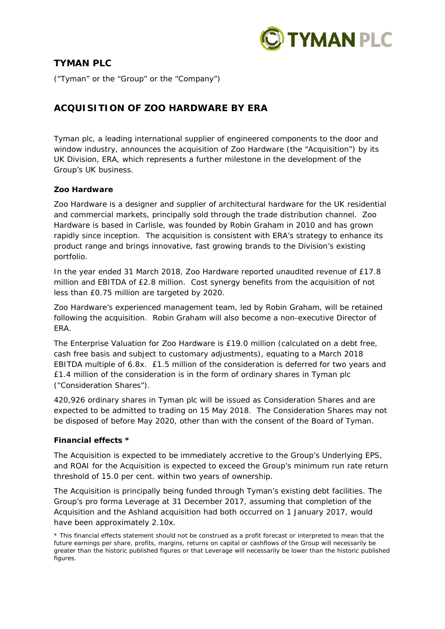

# **TYMAN PLC**

("Tyman" or the "Group" or the "Company")

# **ACQUISITION OF ZOO HARDWARE BY ERA**

Tyman plc, a leading international supplier of engineered components to the door and window industry, announces the acquisition of Zoo Hardware (the "Acquisition") by its UK Division, ERA, which represents a further milestone in the development of the Group's UK business.

## **Zoo Hardware**

Zoo Hardware is a designer and supplier of architectural hardware for the UK residential and commercial markets, principally sold through the trade distribution channel. Zoo Hardware is based in Carlisle, was founded by Robin Graham in 2010 and has grown rapidly since inception. The acquisition is consistent with ERA's strategy to enhance its product range and brings innovative, fast growing brands to the Division's existing portfolio.

In the year ended 31 March 2018, Zoo Hardware reported unaudited revenue of £17.8 million and EBITDA of £2.8 million. Cost synergy benefits from the acquisition of not less than £0.75 million are targeted by 2020.

Zoo Hardware's experienced management team, led by Robin Graham, will be retained following the acquisition. Robin Graham will also become a non-executive Director of ERA.

The Enterprise Valuation for Zoo Hardware is £19.0 million (calculated on a debt free, cash free basis and subject to customary adjustments), equating to a March 2018 EBITDA multiple of 6.8x. £1.5 million of the consideration is deferred for two years and £1.4 million of the consideration is in the form of ordinary shares in Tyman plc ("Consideration Shares").

420,926 ordinary shares in Tyman plc will be issued as Consideration Shares and are expected to be admitted to trading on 15 May 2018. The Consideration Shares may not be disposed of before May 2020, other than with the consent of the Board of Tyman.

## **Financial effects \***

The Acquisition is expected to be immediately accretive to the Group's Underlying EPS, and ROAI for the Acquisition is expected to exceed the Group's minimum run rate return threshold of 15.0 per cent. within two years of ownership.

The Acquisition is principally being funded through Tyman's existing debt facilities. The Group's pro forma Leverage at 31 December 2017, assuming that completion of the Acquisition and the Ashland acquisition had both occurred on 1 January 2017, would have been approximately 2.10x.

*<sup>\*</sup> This financial effects statement should not be construed as a profit forecast or interpreted to mean that the future earnings per share, profits, margins, returns on capital or cashflows of the Group will necessarily be greater than the historic published figures or that Leverage will necessarily be lower than the historic published figures.*